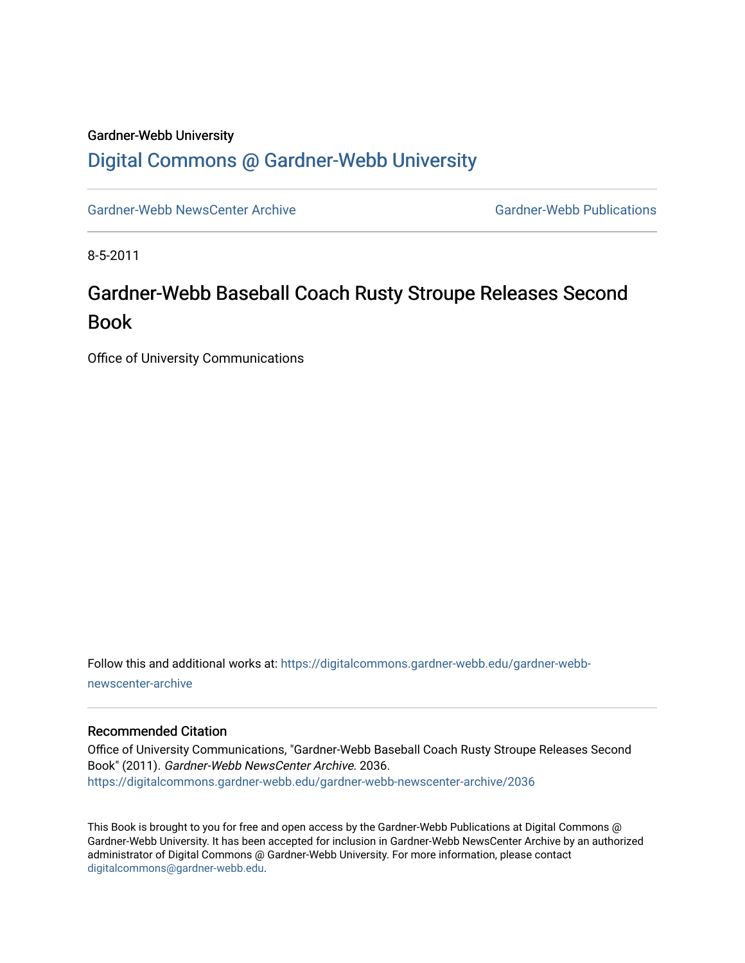## Gardner-Webb University [Digital Commons @ Gardner-Webb University](https://digitalcommons.gardner-webb.edu/)

[Gardner-Webb NewsCenter Archive](https://digitalcommons.gardner-webb.edu/gardner-webb-newscenter-archive) Gardner-Webb Publications

8-5-2011

## Gardner-Webb Baseball Coach Rusty Stroupe Releases Second Book

Office of University Communications

Follow this and additional works at: [https://digitalcommons.gardner-webb.edu/gardner-webb](https://digitalcommons.gardner-webb.edu/gardner-webb-newscenter-archive?utm_source=digitalcommons.gardner-webb.edu%2Fgardner-webb-newscenter-archive%2F2036&utm_medium=PDF&utm_campaign=PDFCoverPages)[newscenter-archive](https://digitalcommons.gardner-webb.edu/gardner-webb-newscenter-archive?utm_source=digitalcommons.gardner-webb.edu%2Fgardner-webb-newscenter-archive%2F2036&utm_medium=PDF&utm_campaign=PDFCoverPages)

## Recommended Citation

Office of University Communications, "Gardner-Webb Baseball Coach Rusty Stroupe Releases Second Book" (2011). Gardner-Webb NewsCenter Archive. 2036. [https://digitalcommons.gardner-webb.edu/gardner-webb-newscenter-archive/2036](https://digitalcommons.gardner-webb.edu/gardner-webb-newscenter-archive/2036?utm_source=digitalcommons.gardner-webb.edu%2Fgardner-webb-newscenter-archive%2F2036&utm_medium=PDF&utm_campaign=PDFCoverPages) 

This Book is brought to you for free and open access by the Gardner-Webb Publications at Digital Commons @ Gardner-Webb University. It has been accepted for inclusion in Gardner-Webb NewsCenter Archive by an authorized administrator of Digital Commons @ Gardner-Webb University. For more information, please contact [digitalcommons@gardner-webb.edu](mailto:digitalcommons@gardner-webb.edu).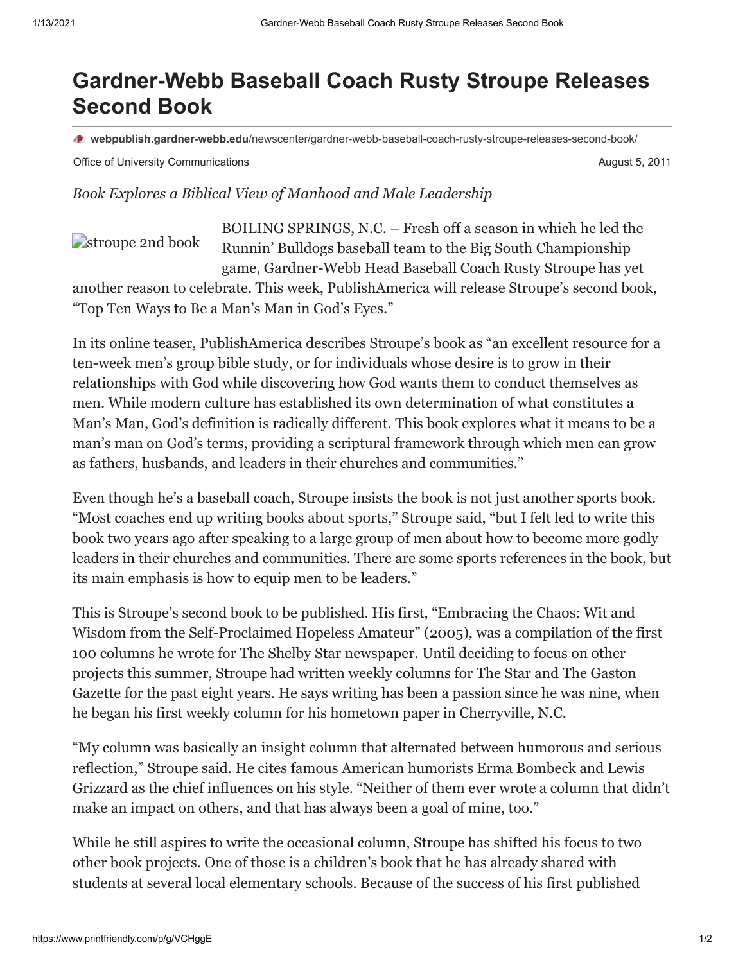## **Gardner-Webb Baseball Coach Rusty Stroupe Releases Second Book**

**webpublish.gardner-webb.edu**[/newscenter/gardner-webb-baseball-coach-rusty-stroupe-releases-second-book/](https://webpublish.gardner-webb.edu/newscenter/gardner-webb-baseball-coach-rusty-stroupe-releases-second-book/)

Office of University Communications **August 5, 2011** Communications **August 5, 2011** 

*Book Explores a Biblical View of Manhood and Male Leadership*

[stroupe 2nd book](http://152.44.63.252/newscenter/?attachment_id=899) BOILING SPRINGS, N.C. – Fresh off a season in which he led the Runnin' Bulldogs baseball team to the Big South Championship game, Gardner-Webb Head Baseball Coach Rusty Stroupe has yet

another reason to celebrate. This week, PublishAmerica will release Stroupe's second book, "Top Ten Ways to Be a Man's Man in God's Eyes."

In its online teaser, PublishAmerica describes Stroupe's book as "an excellent resource for a ten-week men's group bible study, or for individuals whose desire is to grow in their relationships with God while discovering how God wants them to conduct themselves as men. While modern culture has established its own determination of what constitutes a Man's Man, God's definition is radically different. This book explores what it means to be a man's man on God's terms, providing a scriptural framework through which men can grow as fathers, husbands, and leaders in their churches and communities."

Even though he's a baseball coach, Stroupe insists the book is not just another sports book. "Most coaches end up writing books about sports," Stroupe said, "but I felt led to write this book two years ago after speaking to a large group of men about how to become more godly leaders in their churches and communities. There are some sports references in the book, but its main emphasis is how to equip men to be leaders."

This is Stroupe's second book to be published. His first, "Embracing the Chaos: Wit and Wisdom from the Self-Proclaimed Hopeless Amateur" (2005), was a compilation of the first 100 columns he wrote for The Shelby Star newspaper. Until deciding to focus on other projects this summer, Stroupe had written weekly columns for The Star and The Gaston Gazette for the past eight years. He says writing has been a passion since he was nine, when he began his first weekly column for his hometown paper in Cherryville, N.C.

"My column was basically an insight column that alternated between humorous and serious reflection," Stroupe said. He cites famous American humorists Erma Bombeck and Lewis Grizzard as the chief influences on his style. "Neither of them ever wrote a column that didn't make an impact on others, and that has always been a goal of mine, too."

While he still aspires to write the occasional column, Stroupe has shifted his focus to two other book projects. One of those is a children's book that he has already shared with students at several local elementary schools. Because of the success of his first published